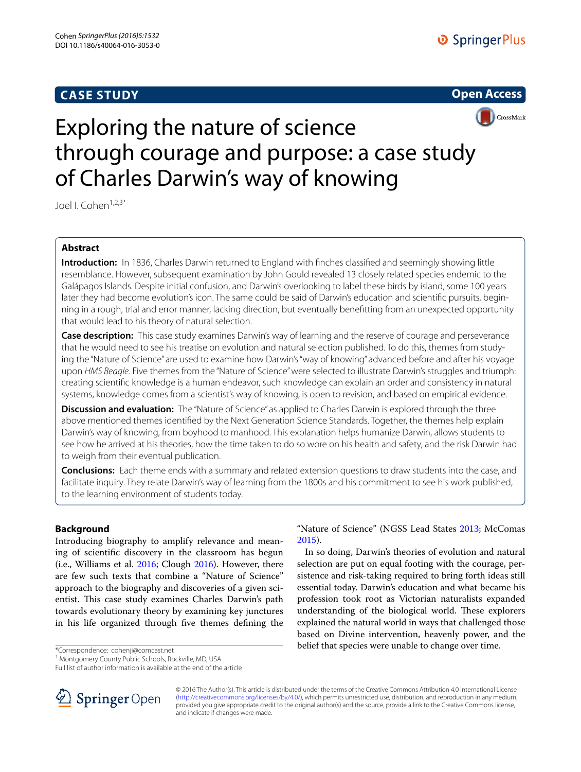# **CASE STUDY**





# Exploring the nature of science through courage and purpose: a case study of Charles Darwin's way of knowing

Joel I. Cohen<sup>1,2,3\*</sup>

# **Abstract**

**Introduction:** In 1836, Charles Darwin returned to England with finches classified and seemingly showing little resemblance. However, subsequent examination by John Gould revealed 13 closely related species endemic to the Galápagos Islands. Despite initial confusion, and Darwin's overlooking to label these birds by island, some 100 years later they had become evolution's icon. The same could be said of Darwin's education and scientific pursuits, beginning in a rough, trial and error manner, lacking direction, but eventually benefitting from an unexpected opportunity that would lead to his theory of natural selection.

**Case description:** This case study examines Darwin's way of learning and the reserve of courage and perseverance that he would need to see his treatise on evolution and natural selection published. To do this, themes from studying the "Nature of Science" are used to examine how Darwin's "way of knowing" advanced before and after his voyage upon *HMS Beagle.* Five themes from the "Nature of Science" were selected to illustrate Darwin's struggles and triumph: creating scientific knowledge is a human endeavor, such knowledge can explain an order and consistency in natural systems, knowledge comes from a scientist's way of knowing, is open to revision, and based on empirical evidence.

**Discussion and evaluation:** The "Nature of Science" as applied to Charles Darwin is explored through the three above mentioned themes identified by the Next Generation Science Standards. Together, the themes help explain Darwin's way of knowing, from boyhood to manhood. This explanation helps humanize Darwin, allows students to see how he arrived at his theories, how the time taken to do so wore on his health and safety, and the risk Darwin had to weigh from their eventual publication.

**Conclusions:** Each theme ends with a summary and related extension questions to draw students into the case, and facilitate inquiry. They relate Darwin's way of learning from the 1800s and his commitment to see his work published, to the learning environment of students today.

## **Background**

Introducing biography to amplify relevance and meaning of scientific discovery in the classroom has begun (i.e., Williams et al. [2016](#page-7-0); Clough [2016\)](#page-7-1). However, there are few such texts that combine a "Nature of Science" approach to the biography and discoveries of a given scientist. This case study examines Charles Darwin's path towards evolutionary theory by examining key junctures in his life organized through five themes defining the

\*Correspondence: cohenji@comcast.net



In so doing, Darwin's theories of evolution and natural selection are put on equal footing with the courage, persistence and risk-taking required to bring forth ideas still essential today. Darwin's education and what became his profession took root as Victorian naturalists expanded understanding of the biological world. These explorers explained the natural world in ways that challenged those based on Divine intervention, heavenly power, and the belief that species were unable to change over time.



© 2016 The Author(s). This article is distributed under the terms of the Creative Commons Attribution 4.0 International License [\(http://creativecommons.org/licenses/by/4.0/\)](http://creativecommons.org/licenses/by/4.0/), which permits unrestricted use, distribution, and reproduction in any medium, provided you give appropriate credit to the original author(s) and the source, provide a link to the Creative Commons license, and indicate if changes were made.

<sup>&</sup>lt;sup>1</sup> Montgomery County Public Schools, Rockville, MD, USA

Full list of author information is available at the end of the article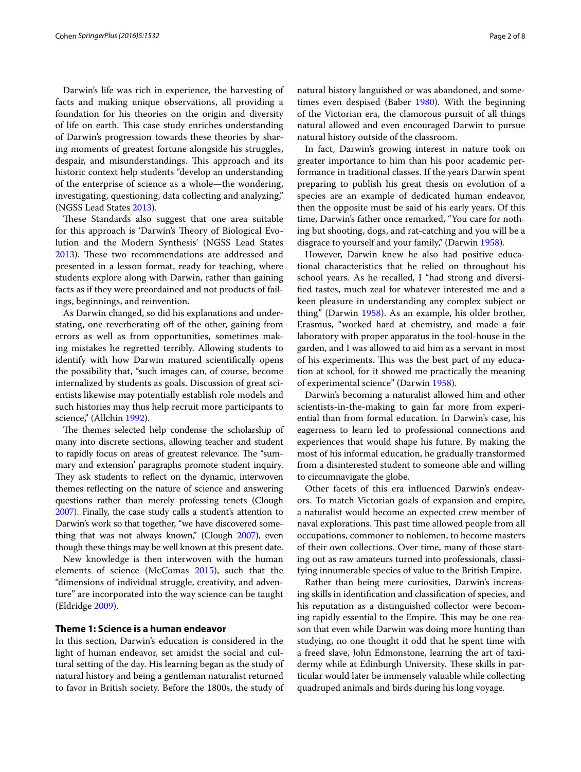Darwin's life was rich in experience, the harvesting of facts and making unique observations, all providing a foundation for his theories on the origin and diversity of life on earth. This case study enriches understanding of Darwin's progression towards these theories by sharing moments of greatest fortune alongside his struggles, despair, and misunderstandings. This approach and its historic context help students "develop an understanding of the enterprise of science as a whole—the wondering, investigating, questioning, data collecting and analyzing," (NGSS Lead States [2013](#page-7-2)).

These Standards also suggest that one area suitable for this approach is 'Darwin's Theory of Biological Evolution and the Modern Synthesis' (NGSS Lead States [2013](#page-7-2)). These two recommendations are addressed and presented in a lesson format, ready for teaching, where students explore along with Darwin, rather than gaining facts as if they were preordained and not products of failings, beginnings, and reinvention.

As Darwin changed, so did his explanations and understating, one reverberating off of the other, gaining from errors as well as from opportunities, sometimes making mistakes he regretted terribly. Allowing students to identify with how Darwin matured scientifically opens the possibility that, "such images can, of course, become internalized by students as goals. Discussion of great scientists likewise may potentially establish role models and such histories may thus help recruit more participants to science," (Allchin [1992](#page-7-4)).

The themes selected help condense the scholarship of many into discrete sections, allowing teacher and student to rapidly focus on areas of greatest relevance. The "summary and extension' paragraphs promote student inquiry. They ask students to reflect on the dynamic, interwoven themes reflecting on the nature of science and answering questions rather than merely professing tenets (Clough [2007\)](#page-7-5). Finally, the case study calls a student's attention to Darwin's work so that together, "we have discovered some-thing that was not always known," (Clough [2007](#page-7-5)), even though these things may be well known at this present date.

New knowledge is then interwoven with the human elements of science (McComas [2015](#page-7-3)), such that the "dimensions of individual struggle, creativity, and adventure" are incorporated into the way science can be taught (Eldridge [2009](#page-7-6)).

# **Theme 1: Science is a human endeavor**

In this section, Darwin's education is considered in the light of human endeavor, set amidst the social and cultural setting of the day. His learning began as the study of natural history and being a gentleman naturalist returned to favor in British society. Before the 1800s, the study of natural history languished or was abandoned, and sometimes even despised (Baber [1980\)](#page-7-7). With the beginning of the Victorian era, the clamorous pursuit of all things natural allowed and even encouraged Darwin to pursue natural history outside of the classroom.

In fact, Darwin's growing interest in nature took on greater importance to him than his poor academic performance in traditional classes. If the years Darwin spent preparing to publish his great thesis on evolution of a species are an example of dedicated human endeavor, then the opposite must be said of his early years. Of this time, Darwin's father once remarked, "You care for nothing but shooting, dogs, and rat-catching and you will be a disgrace to yourself and your family," (Darwin [1958](#page-7-8)).

However, Darwin knew he also had positive educational characteristics that he relied on throughout his school years. As he recalled, I "had strong and diversified tastes, much zeal for whatever interested me and a keen pleasure in understanding any complex subject or thing" (Darwin [1958\)](#page-7-8). As an example, his older brother, Erasmus, "worked hard at chemistry, and made a fair laboratory with proper apparatus in the tool-house in the garden, and I was allowed to aid him as a servant in most of his experiments. This was the best part of my education at school, for it showed me practically the meaning of experimental science" (Darwin [1958\)](#page-7-8).

Darwin's becoming a naturalist allowed him and other scientists-in-the-making to gain far more from experiential than from formal education. In Darwin's case, his eagerness to learn led to professional connections and experiences that would shape his future. By making the most of his informal education, he gradually transformed from a disinterested student to someone able and willing to circumnavigate the globe.

Other facets of this era influenced Darwin's endeavors. To match Victorian goals of expansion and empire, a naturalist would become an expected crew member of naval explorations. This past time allowed people from all occupations, commoner to noblemen, to become masters of their own collections. Over time, many of those starting out as raw amateurs turned into professionals, classifying innumerable species of value to the British Empire.

Rather than being mere curiosities, Darwin's increasing skills in identification and classification of species, and his reputation as a distinguished collector were becoming rapidly essential to the Empire. This may be one reason that even while Darwin was doing more hunting than studying, no one thought it odd that he spent time with a freed slave, John Edmonstone, learning the art of taxidermy while at Edinburgh University. These skills in particular would later be immensely valuable while collecting quadruped animals and birds during his long voyage.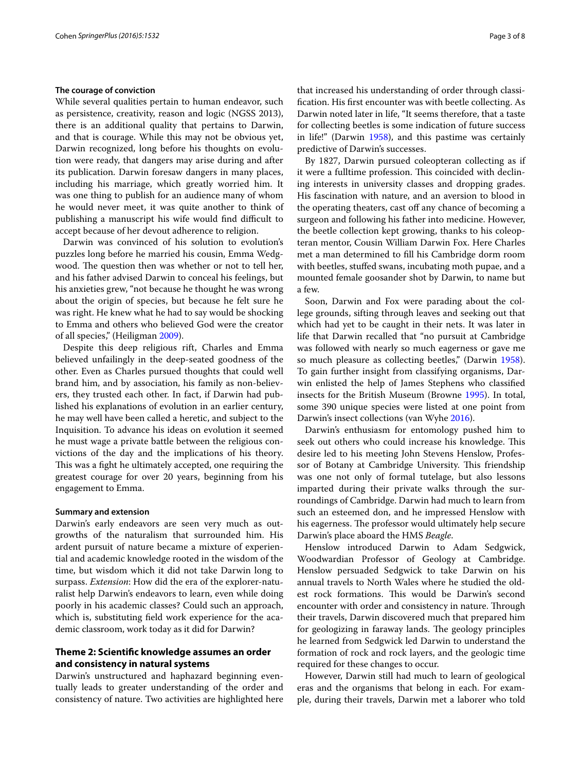## **The courage of conviction**

While several qualities pertain to human endeavor, such as persistence, creativity, reason and logic (NGSS 2013), there is an additional quality that pertains to Darwin, and that is courage. While this may not be obvious yet, Darwin recognized, long before his thoughts on evolution were ready, that dangers may arise during and after its publication. Darwin foresaw dangers in many places, including his marriage, which greatly worried him. It was one thing to publish for an audience many of whom he would never meet, it was quite another to think of publishing a manuscript his wife would find difficult to accept because of her devout adherence to religion.

Darwin was convinced of his solution to evolution's puzzles long before he married his cousin, Emma Wedgwood. The question then was whether or not to tell her, and his father advised Darwin to conceal his feelings, but his anxieties grew, "not because he thought he was wrong about the origin of species, but because he felt sure he was right. He knew what he had to say would be shocking to Emma and others who believed God were the creator of all species," (Heiligman [2009](#page-7-9)).

Despite this deep religious rift, Charles and Emma believed unfailingly in the deep-seated goodness of the other. Even as Charles pursued thoughts that could well brand him, and by association, his family as non-believers, they trusted each other. In fact, if Darwin had published his explanations of evolution in an earlier century, he may well have been called a heretic, and subject to the Inquisition. To advance his ideas on evolution it seemed he must wage a private battle between the religious convictions of the day and the implications of his theory. This was a fight he ultimately accepted, one requiring the greatest courage for over 20 years, beginning from his engagement to Emma.

#### **Summary and extension**

Darwin's early endeavors are seen very much as outgrowths of the naturalism that surrounded him. His ardent pursuit of nature became a mixture of experiential and academic knowledge rooted in the wisdom of the time, but wisdom which it did not take Darwin long to surpass. *Extension*: How did the era of the explorer-naturalist help Darwin's endeavors to learn, even while doing poorly in his academic classes? Could such an approach, which is, substituting field work experience for the academic classroom, work today as it did for Darwin?

## **Theme 2: Scientific knowledge assumes an order and consistency in natural systems**

Darwin's unstructured and haphazard beginning eventually leads to greater understanding of the order and consistency of nature. Two activities are highlighted here that increased his understanding of order through classification. His first encounter was with beetle collecting. As Darwin noted later in life, "It seems therefore, that a taste for collecting beetles is some indication of future success in life!" (Darwin [1958](#page-7-8)), and this pastime was certainly predictive of Darwin's successes.

By 1827, Darwin pursued coleopteran collecting as if it were a fulltime profession. This coincided with declining interests in university classes and dropping grades. His fascination with nature, and an aversion to blood in the operating theaters, cast off any chance of becoming a surgeon and following his father into medicine. However, the beetle collection kept growing, thanks to his coleopteran mentor, Cousin William Darwin Fox. Here Charles met a man determined to fill his Cambridge dorm room with beetles, stuffed swans, incubating moth pupae, and a mounted female goosander shot by Darwin, to name but a few.

Soon, Darwin and Fox were parading about the college grounds, sifting through leaves and seeking out that which had yet to be caught in their nets. It was later in life that Darwin recalled that "no pursuit at Cambridge was followed with nearly so much eagerness or gave me so much pleasure as collecting beetles," (Darwin [1958](#page-7-8)). To gain further insight from classifying organisms, Darwin enlisted the help of James Stephens who classified insects for the British Museum (Browne [1995\)](#page-7-10). In total, some 390 unique species were listed at one point from Darwin's insect collections (van Wyhe [2016\)](#page-7-11).

Darwin's enthusiasm for entomology pushed him to seek out others who could increase his knowledge. This desire led to his meeting John Stevens Henslow, Professor of Botany at Cambridge University. This friendship was one not only of formal tutelage, but also lessons imparted during their private walks through the surroundings of Cambridge. Darwin had much to learn from such an esteemed don, and he impressed Henslow with his eagerness. The professor would ultimately help secure Darwin's place aboard the HMS *Beagle*.

Henslow introduced Darwin to Adam Sedgwick, Woodwardian Professor of Geology at Cambridge. Henslow persuaded Sedgwick to take Darwin on his annual travels to North Wales where he studied the oldest rock formations. This would be Darwin's second encounter with order and consistency in nature. Through their travels, Darwin discovered much that prepared him for geologizing in faraway lands. The geology principles he learned from Sedgwick led Darwin to understand the formation of rock and rock layers, and the geologic time required for these changes to occur.

However, Darwin still had much to learn of geological eras and the organisms that belong in each. For example, during their travels, Darwin met a laborer who told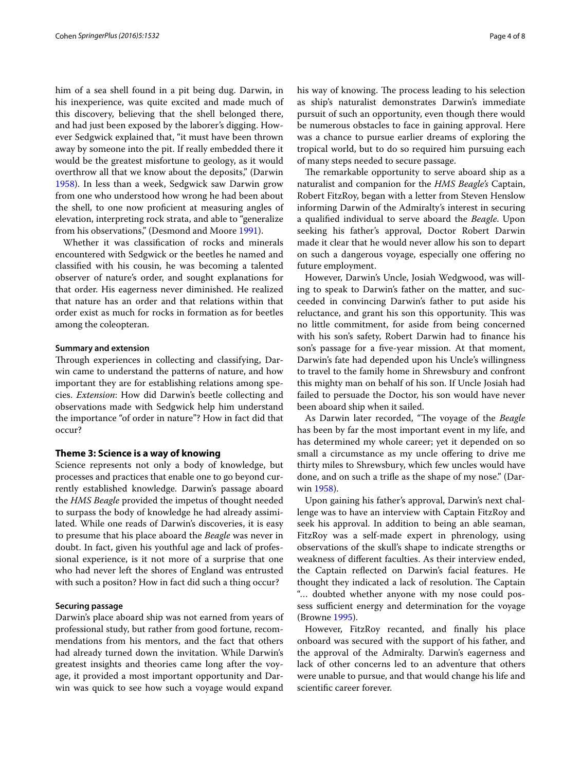him of a sea shell found in a pit being dug. Darwin, in his inexperience, was quite excited and made much of this discovery, believing that the shell belonged there, and had just been exposed by the laborer's digging. However Sedgwick explained that, "it must have been thrown away by someone into the pit. If really embedded there it would be the greatest misfortune to geology, as it would overthrow all that we know about the deposits," (Darwin [1958](#page-7-8)). In less than a week, Sedgwick saw Darwin grow from one who understood how wrong he had been about the shell, to one now proficient at measuring angles of elevation, interpreting rock strata, and able to "generalize from his observations," (Desmond and Moore [1991\)](#page-7-12).

Whether it was classification of rocks and minerals encountered with Sedgwick or the beetles he named and classified with his cousin, he was becoming a talented observer of nature's order, and sought explanations for that order. His eagerness never diminished. He realized that nature has an order and that relations within that order exist as much for rocks in formation as for beetles among the coleopteran.

#### **Summary and extension**

Through experiences in collecting and classifying, Darwin came to understand the patterns of nature, and how important they are for establishing relations among species. *Extension*: How did Darwin's beetle collecting and observations made with Sedgwick help him understand the importance "of order in nature"? How in fact did that occur?

## **Theme 3: Science is a way of knowing**

Science represents not only a body of knowledge, but processes and practices that enable one to go beyond currently established knowledge. Darwin's passage aboard the *HMS Beagle* provided the impetus of thought needed to surpass the body of knowledge he had already assimilated. While one reads of Darwin's discoveries, it is easy to presume that his place aboard the *Beagle* was never in doubt. In fact, given his youthful age and lack of professional experience, is it not more of a surprise that one who had never left the shores of England was entrusted with such a positon? How in fact did such a thing occur?

## **Securing passage**

Darwin's place aboard ship was not earned from years of professional study, but rather from good fortune, recommendations from his mentors, and the fact that others had already turned down the invitation. While Darwin's greatest insights and theories came long after the voyage, it provided a most important opportunity and Darwin was quick to see how such a voyage would expand his way of knowing. The process leading to his selection as ship's naturalist demonstrates Darwin's immediate pursuit of such an opportunity, even though there would be numerous obstacles to face in gaining approval. Here was a chance to pursue earlier dreams of exploring the tropical world, but to do so required him pursuing each of many steps needed to secure passage.

The remarkable opportunity to serve aboard ship as a naturalist and companion for the *HMS Beagle's* Captain, Robert FitzRoy, began with a letter from Steven Henslow informing Darwin of the Admiralty's interest in securing a qualified individual to serve aboard the *Beagle*. Upon seeking his father's approval, Doctor Robert Darwin made it clear that he would never allow his son to depart on such a dangerous voyage, especially one offering no future employment.

However, Darwin's Uncle, Josiah Wedgwood, was willing to speak to Darwin's father on the matter, and succeeded in convincing Darwin's father to put aside his reluctance, and grant his son this opportunity. This was no little commitment, for aside from being concerned with his son's safety, Robert Darwin had to finance his son's passage for a five-year mission. At that moment, Darwin's fate had depended upon his Uncle's willingness to travel to the family home in Shrewsbury and confront this mighty man on behalf of his son. If Uncle Josiah had failed to persuade the Doctor, his son would have never been aboard ship when it sailed.

As Darwin later recorded, "The voyage of the *Beagle* has been by far the most important event in my life, and has determined my whole career; yet it depended on so small a circumstance as my uncle offering to drive me thirty miles to Shrewsbury, which few uncles would have done, and on such a trifle as the shape of my nose." (Darwin [1958\)](#page-7-8).

Upon gaining his father's approval, Darwin's next challenge was to have an interview with Captain FitzRoy and seek his approval. In addition to being an able seaman, FitzRoy was a self-made expert in phrenology, using observations of the skull's shape to indicate strengths or weakness of different faculties. As their interview ended, the Captain reflected on Darwin's facial features. He thought they indicated a lack of resolution. The Captain "… doubted whether anyone with my nose could possess sufficient energy and determination for the voyage (Browne [1995\)](#page-7-10).

However, FitzRoy recanted, and finally his place onboard was secured with the support of his father, and the approval of the Admiralty. Darwin's eagerness and lack of other concerns led to an adventure that others were unable to pursue, and that would change his life and scientific career forever.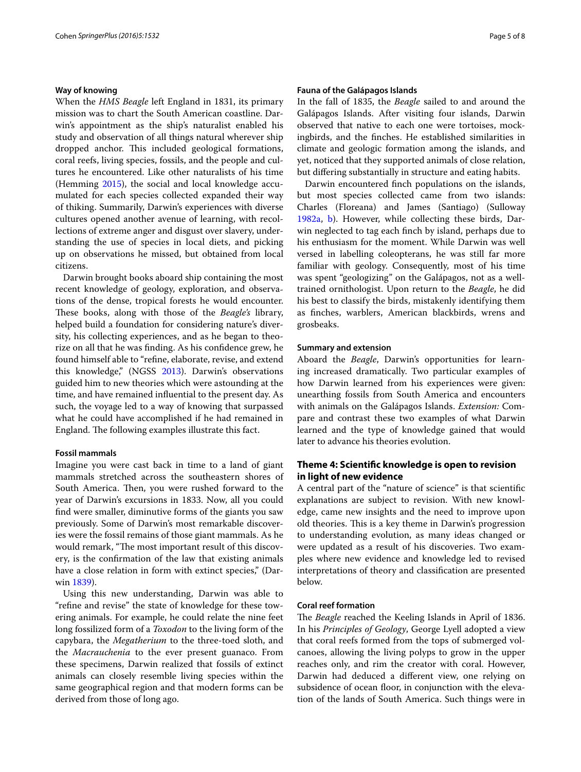## **Way of knowing**

When the *HMS Beagle* left England in 1831, its primary mission was to chart the South American coastline. Darwin's appointment as the ship's naturalist enabled his study and observation of all things natural wherever ship dropped anchor. This included geological formations, coral reefs, living species, fossils, and the people and cultures he encountered. Like other naturalists of his time (Hemming [2015\)](#page-7-13), the social and local knowledge accumulated for each species collected expanded their way of thiking. Summarily, Darwin's experiences with diverse cultures opened another avenue of learning, with recollections of extreme anger and disgust over slavery, understanding the use of species in local diets, and picking up on observations he missed, but obtained from local citizens.

Darwin brought books aboard ship containing the most recent knowledge of geology, exploration, and observations of the dense, tropical forests he would encounter. These books, along with those of the *Beagle's* library, helped build a foundation for considering nature's diversity, his collecting experiences, and as he began to theorize on all that he was finding. As his confidence grew, he found himself able to "refine, elaborate, revise, and extend this knowledge," (NGSS [2013\)](#page-7-2). Darwin's observations guided him to new theories which were astounding at the time, and have remained influential to the present day. As such, the voyage led to a way of knowing that surpassed what he could have accomplished if he had remained in England. The following examples illustrate this fact.

#### **Fossil mammals**

Imagine you were cast back in time to a land of giant mammals stretched across the southeastern shores of South America. Then, you were rushed forward to the year of Darwin's excursions in 1833. Now, all you could find were smaller, diminutive forms of the giants you saw previously. Some of Darwin's most remarkable discoveries were the fossil remains of those giant mammals. As he would remark, "The most important result of this discovery, is the confirmation of the law that existing animals have a close relation in form with extinct species," (Darwin [1839\)](#page-7-14).

Using this new understanding, Darwin was able to "refine and revise" the state of knowledge for these towering animals. For example, he could relate the nine feet long fossilized form of a *Toxodon* to the living form of the capybara, the *Megatherium* to the three-toed sloth, and the *Macrauchenia* to the ever present guanaco. From these specimens, Darwin realized that fossils of extinct animals can closely resemble living species within the same geographical region and that modern forms can be derived from those of long ago.

## **Fauna of the Galápagos Islands**

In the fall of 1835, the *Beagle* sailed to and around the Galápagos Islands. After visiting four islands, Darwin observed that native to each one were tortoises, mockingbirds, and the finches. He established similarities in climate and geologic formation among the islands, and yet, noticed that they supported animals of close relation, but differing substantially in structure and eating habits.

Darwin encountered finch populations on the islands, but most species collected came from two islands: Charles (Floreana) and James (Santiago) (Sulloway [1982a](#page-7-15), [b](#page-7-16)). However, while collecting these birds, Darwin neglected to tag each finch by island, perhaps due to his enthusiasm for the moment. While Darwin was well versed in labelling coleopterans, he was still far more familiar with geology. Consequently, most of his time was spent "geologizing" on the Galápagos, not as a welltrained ornithologist. Upon return to the *Beagle*, he did his best to classify the birds, mistakenly identifying them as finches, warblers, American blackbirds, wrens and grosbeaks.

#### **Summary and extension**

Aboard the *Beagle*, Darwin's opportunities for learning increased dramatically. Two particular examples of how Darwin learned from his experiences were given: unearthing fossils from South America and encounters with animals on the Galápagos Islands. *Extension:* Compare and contrast these two examples of what Darwin learned and the type of knowledge gained that would later to advance his theories evolution.

## **Theme 4: Scientific knowledge is open to revision in light of new evidence**

A central part of the "nature of science" is that scientific explanations are subject to revision. With new knowledge, came new insights and the need to improve upon old theories. This is a key theme in Darwin's progression to understanding evolution, as many ideas changed or were updated as a result of his discoveries. Two examples where new evidence and knowledge led to revised interpretations of theory and classification are presented below.

## **Coral reef formation**

The *Beagle* reached the Keeling Islands in April of 1836. In his *Principles of Geology*, George Lyell adopted a view that coral reefs formed from the tops of submerged volcanoes, allowing the living polyps to grow in the upper reaches only, and rim the creator with coral. However, Darwin had deduced a different view, one relying on subsidence of ocean floor, in conjunction with the elevation of the lands of South America. Such things were in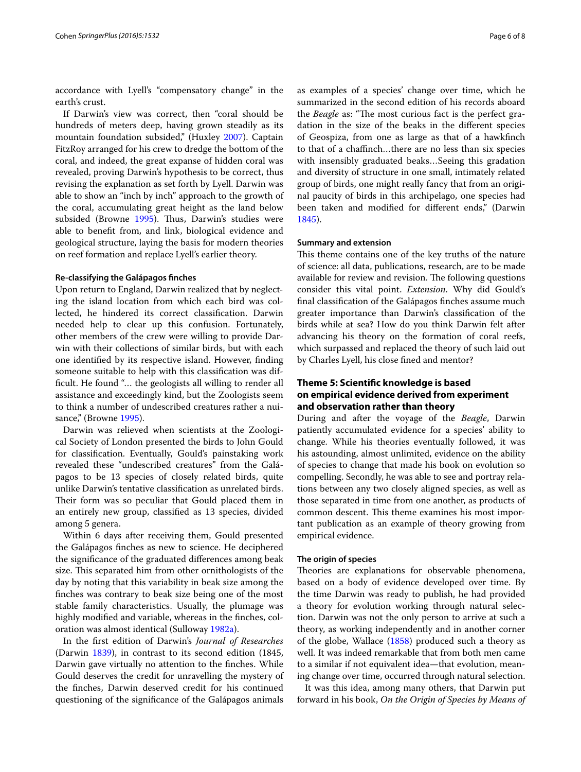accordance with Lyell's "compensatory change" in the earth's crust.

If Darwin's view was correct, then "coral should be hundreds of meters deep, having grown steadily as its mountain foundation subsided," (Huxley [2007](#page-7-17)). Captain FitzRoy arranged for his crew to dredge the bottom of the coral, and indeed, the great expanse of hidden coral was revealed, proving Darwin's hypothesis to be correct, thus revising the explanation as set forth by Lyell. Darwin was able to show an "inch by inch" approach to the growth of the coral, accumulating great height as the land below subsided (Browne [1995\)](#page-7-10). Thus, Darwin's studies were able to benefit from, and link, biological evidence and geological structure, laying the basis for modern theories on reef formation and replace Lyell's earlier theory.

#### **Re‑classifying the Galápagos finches**

Upon return to England, Darwin realized that by neglecting the island location from which each bird was collected, he hindered its correct classification. Darwin needed help to clear up this confusion. Fortunately, other members of the crew were willing to provide Darwin with their collections of similar birds, but with each one identified by its respective island. However, finding someone suitable to help with this classification was difficult. He found "… the geologists all willing to render all assistance and exceedingly kind, but the Zoologists seem to think a number of undescribed creatures rather a nui-sance," (Browne [1995\)](#page-7-10).

Darwin was relieved when scientists at the Zoological Society of London presented the birds to John Gould for classification. Eventually, Gould's painstaking work revealed these "undescribed creatures" from the Galápagos to be 13 species of closely related birds, quite unlike Darwin's tentative classification as unrelated birds. Their form was so peculiar that Gould placed them in an entirely new group, classified as 13 species, divided among 5 genera.

Within 6 days after receiving them, Gould presented the Galápagos finches as new to science. He deciphered the significance of the graduated differences among beak size. This separated him from other ornithologists of the day by noting that this variability in beak size among the finches was contrary to beak size being one of the most stable family characteristics. Usually, the plumage was highly modified and variable, whereas in the finches, coloration was almost identical (Sulloway [1982a\)](#page-7-15).

In the first edition of Darwin's *Journal of Researches* (Darwin [1839](#page-7-14)), in contrast to its second edition (1845, Darwin gave virtually no attention to the finches. While Gould deserves the credit for unravelling the mystery of the finches, Darwin deserved credit for his continued questioning of the significance of the Galápagos animals as examples of a species' change over time, which he

summarized in the second edition of his records aboard the *Beagle* as: "The most curious fact is the perfect gradation in the size of the beaks in the different species of Geospiza, from one as large as that of a hawkfinch to that of a chaffinch…there are no less than six species with insensibly graduated beaks…Seeing this gradation and diversity of structure in one small, intimately related group of birds, one might really fancy that from an original paucity of birds in this archipelago, one species had been taken and modified for different ends," (Darwin [1845](#page-7-18)).

#### **Summary and extension**

This theme contains one of the key truths of the nature of science: all data, publications, research, are to be made available for review and revision. The following questions consider this vital point. *Extension*. Why did Gould's final classification of the Galápagos finches assume much greater importance than Darwin's classification of the birds while at sea? How do you think Darwin felt after advancing his theory on the formation of coral reefs, which surpassed and replaced the theory of such laid out by Charles Lyell, his close fined and mentor?

## **Theme 5: Scientific knowledge is based on empirical evidence derived from experiment and observation rather than theory**

During and after the voyage of the *Beagle*, Darwin patiently accumulated evidence for a species' ability to change. While his theories eventually followed, it was his astounding, almost unlimited, evidence on the ability of species to change that made his book on evolution so compelling. Secondly, he was able to see and portray relations between any two closely aligned species, as well as those separated in time from one another, as products of common descent. This theme examines his most important publication as an example of theory growing from empirical evidence.

### **The origin of species**

Theories are explanations for observable phenomena, based on a body of evidence developed over time. By the time Darwin was ready to publish, he had provided a theory for evolution working through natural selection. Darwin was not the only person to arrive at such a theory, as working independently and in another corner of the globe, Wallace [\(1858\)](#page-7-19) produced such a theory as well. It was indeed remarkable that from both men came to a similar if not equivalent idea—that evolution, meaning change over time, occurred through natural selection.

It was this idea, among many others, that Darwin put forward in his book, *On the Origin of Species by Means of*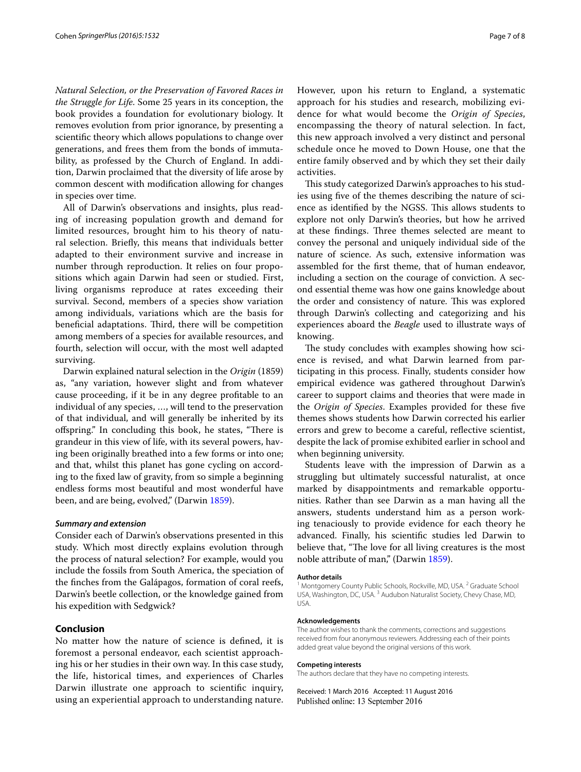*Natural Selection, or the Preservation of Favored Races in the Struggle for Life*. Some 25 years in its conception, the book provides a foundation for evolutionary biology. It removes evolution from prior ignorance, by presenting a scientific theory which allows populations to change over generations, and frees them from the bonds of immutability, as professed by the Church of England. In addition, Darwin proclaimed that the diversity of life arose by common descent with modification allowing for changes in species over time.

All of Darwin's observations and insights, plus reading of increasing population growth and demand for limited resources, brought him to his theory of natural selection. Briefly, this means that individuals better adapted to their environment survive and increase in number through reproduction. It relies on four propositions which again Darwin had seen or studied. First, living organisms reproduce at rates exceeding their survival. Second, members of a species show variation among individuals, variations which are the basis for beneficial adaptations. Third, there will be competition among members of a species for available resources, and fourth, selection will occur, with the most well adapted surviving.

Darwin explained natural selection in the *Origin* (1859) as, "any variation, however slight and from whatever cause proceeding, if it be in any degree profitable to an individual of any species, …, will tend to the preservation of that individual, and will generally be inherited by its offspring." In concluding this book, he states, "There is grandeur in this view of life, with its several powers, having been originally breathed into a few forms or into one; and that, whilst this planet has gone cycling on according to the fixed law of gravity, from so simple a beginning endless forms most beautiful and most wonderful have been, and are being, evolved," (Darwin [1859\)](#page-7-20).

#### *Summary and extension*

Consider each of Darwin's observations presented in this study. Which most directly explains evolution through the process of natural selection? For example, would you include the fossils from South America, the speciation of the finches from the Galápagos, formation of coral reefs, Darwin's beetle collection, or the knowledge gained from his expedition with Sedgwick?

## **Conclusion**

No matter how the nature of science is defined, it is foremost a personal endeavor, each scientist approaching his or her studies in their own way. In this case study, the life, historical times, and experiences of Charles Darwin illustrate one approach to scientific inquiry, using an experiential approach to understanding nature. However, upon his return to England, a systematic approach for his studies and research, mobilizing evidence for what would become the *Origin of Species*, encompassing the theory of natural selection. In fact, this new approach involved a very distinct and personal schedule once he moved to Down House, one that the entire family observed and by which they set their daily activities.

This study categorized Darwin's approaches to his studies using five of the themes describing the nature of science as identified by the NGSS. This allows students to explore not only Darwin's theories, but how he arrived at these findings. Three themes selected are meant to convey the personal and uniquely individual side of the nature of science. As such, extensive information was assembled for the first theme, that of human endeavor, including a section on the courage of conviction. A second essential theme was how one gains knowledge about the order and consistency of nature. This was explored through Darwin's collecting and categorizing and his experiences aboard the *Beagle* used to illustrate ways of knowing.

The study concludes with examples showing how science is revised, and what Darwin learned from participating in this process. Finally, students consider how empirical evidence was gathered throughout Darwin's career to support claims and theories that were made in the *Origin of Species*. Examples provided for these five themes shows students how Darwin corrected his earlier errors and grew to become a careful, reflective scientist, despite the lack of promise exhibited earlier in school and when beginning university.

Students leave with the impression of Darwin as a struggling but ultimately successful naturalist, at once marked by disappointments and remarkable opportunities. Rather than see Darwin as a man having all the answers, students understand him as a person working tenaciously to provide evidence for each theory he advanced. Finally, his scientific studies led Darwin to believe that, "The love for all living creatures is the most noble attribute of man," (Darwin [1859\)](#page-7-20).

#### **Author details**

<sup>1</sup> Montgomery County Public Schools, Rockville, MD, USA.<sup>2</sup> Graduate School USA, Washington, DC, USA. <sup>3</sup> Audubon Naturalist Society, Chevy Chase, MD, USA.

#### **Acknowledgements**

The author wishes to thank the comments, corrections and suggestions received from four anonymous reviewers. Addressing each of their points added great value beyond the original versions of this work.

#### **Competing interests**

The authors declare that they have no competing interests.

Received: 1 March 2016 Accepted: 11 August 2016Published online: 13 September 2016